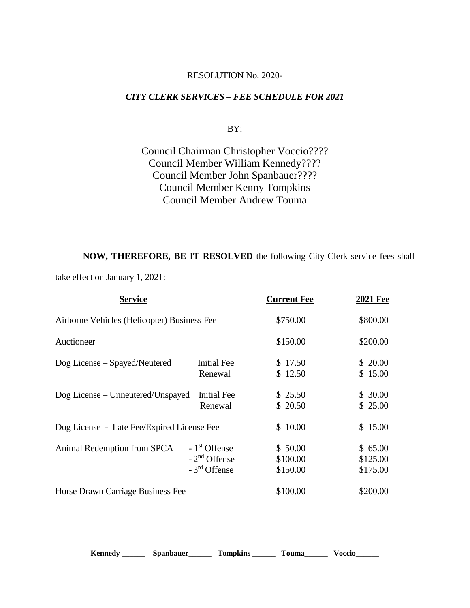## RESOLUTION No. 2020-

## *CITY CLERK SERVICES – FEE SCHEDULE FOR 2021*

BY:

## Council Chairman Christopher Voccio???? Council Member William Kennedy???? Council Member John Spanbauer???? Council Member Kenny Tompkins Council Member Andrew Touma

**NOW, THEREFORE, BE IT RESOLVED** the following City Clerk service fees shall take effect on January 1, 2021:

| Service<br>Airborne Vehicles (Helicopter) Business Fee |                    | <b>Current Fee</b><br>\$750.00 | <b>2021 Fee</b><br>\$800.00 |
|--------------------------------------------------------|--------------------|--------------------------------|-----------------------------|
|                                                        |                    |                                |                             |
| Dog License – Spayed/Neutered                          | <b>Initial Fee</b> | \$17.50                        | \$20.00                     |
|                                                        | Renewal            | \$12.50                        | \$15.00                     |
| Dog License – Unneutered/Unspayed                      | <b>Initial Fee</b> | \$25.50                        | \$30.00                     |
|                                                        | Renewal            | \$20.50                        | \$25.00                     |
| Dog License - Late Fee/Expired License Fee             |                    | \$10.00                        | \$15.00                     |
| Animal Redemption from SPCA                            | $-1st$ Offense     | \$50.00                        | \$65.00                     |
|                                                        | $-2nd$ Offense     | \$100.00                       | \$125.00                    |
|                                                        | $-3rd$ Offense     | \$150.00                       | \$175.00                    |
| Horse Drawn Carriage Business Fee                      |                    | \$100.00                       | \$200.00                    |

**Kennedy \_\_\_\_\_\_ Spanbauer\_\_\_\_\_\_ Tompkins \_\_\_\_\_\_ Touma\_\_\_\_\_\_ Voccio\_\_\_\_\_\_**